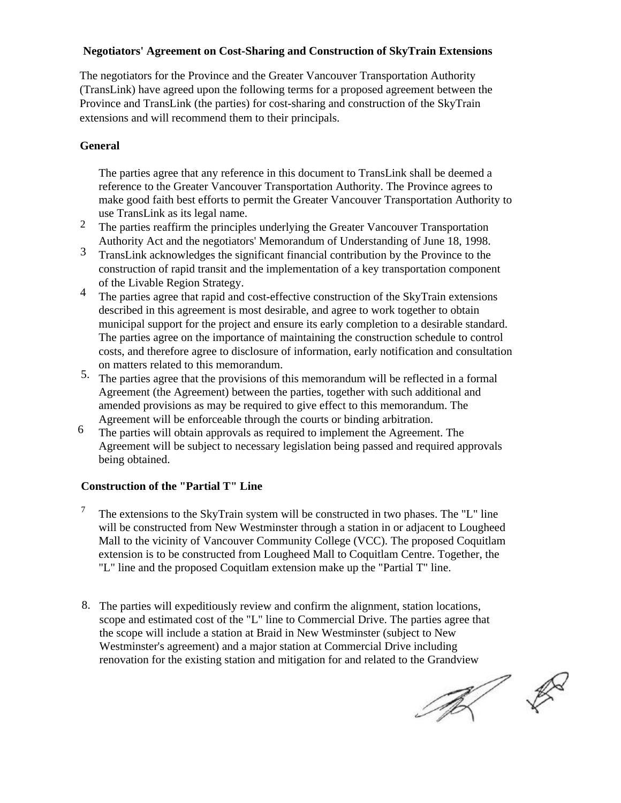# **Negotiators' Agreement on Cost-Sharing and Construction of SkyTrain Extensions**

The negotiators for the Province and the Greater Vancouver Transportation Authority (TransLink) have agreed upon the following terms for a proposed agreement between the Province and TransLink (the parties) for cost-sharing and construction of the SkyTrain extensions and will recommend them to their principals.

# **General**

The parties agree that any reference in this document to TransLink shall be deemed a reference to the Greater Vancouver Transportation Authority. The Province agrees to make good faith best efforts to permit the Greater Vancouver Transportation Authority to use TransLink as its legal name.

- The parties reaffirm the principles underlying the Greater Vancouver Transportation Authority Act and the negotiators' Memorandum of Understanding of June 18, 1998. 2
- TransLink acknowledges the significant financial contribution by the Province to the construction of rapid transit and the implementation of a key transportation component of the Livable Region Strategy. 3
- The parties agree that rapid and cost-effective construction of the SkyTrain extensions described in this agreement is most desirable, and agree to work together to obtain municipal support for the project and ensure its early completion to a desirable standard. The parties agree on the importance of maintaining the construction schedule to control costs, and therefore agree to disclosure of information, early notification and consultation on matters related to this memorandum. 4
- 5. The parties agree that the provisions of this memorandum will be reflected in a formal Agreement (the Agreement) between the parties, together with such additional and amended provisions as may be required to give effect to this memorandum. The Agreement will be enforceable through the courts or binding arbitration.
- The parties will obtain approvals as required to implement the Agreement. The Agreement will be subject to necessary legislation being passed and required approvals being obtained. 6

# **Construction of the "Partial T" Line**

- <sup>7</sup> The extensions to the SkyTrain system will be constructed in two phases. The "L" line will be constructed from New Westminster through a station in or adjacent to Lougheed Mall to the vicinity of Vancouver Community College (VCC). The proposed Coquitlam extension is to be constructed from Lougheed Mall to Coquitlam Centre. Together, the "L" line and the proposed Coquitlam extension make up the "Partial T" line.
- 8. The parties will expeditiously review and confirm the alignment, station locations, scope and estimated cost of the "L" line to Commercial Drive. The parties agree that the scope will include a station at Braid in New Westminster (subject to New Westminster's agreement) and a major station at Commercial Drive including renovation for the existing station and mitigation for and related to the Grandview

 $\begin{picture}(120,15) \put(0,0){\line(1,0){155}} \put(15,0){\line(1,0){155}} \put(15,0){\line(1,0){155}} \put(15,0){\line(1,0){155}} \put(15,0){\line(1,0){155}} \put(15,0){\line(1,0){155}} \put(15,0){\line(1,0){155}} \put(15,0){\line(1,0){155}} \put(15,0){\line(1,0){155}} \put(15,0){\line(1,0){155}} \put(15,0){\line(1,0){155}}$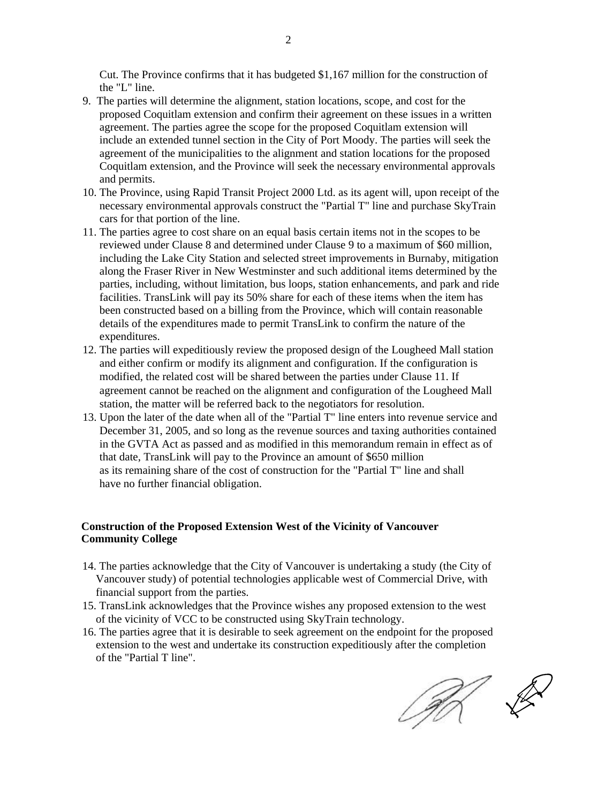Cut. The Province confirms that it has budgeted \$1,167 million for the construction of the "L" line.

- 9. The parties will determine the alignment, station locations, scope, and cost for the proposed Coquitlam extension and confirm their agreement on these issues in a written agreement. The parties agree the scope for the proposed Coquitlam extension will include an extended tunnel section in the City of Port Moody. The parties will seek the agreement of the municipalities to the alignment and station locations for the proposed Coquitlam extension, and the Province will seek the necessary environmental approvals and permits.
- 10. The Province, using Rapid Transit Project 2000 Ltd. as its agent will, upon receipt of the necessary environmental approvals construct the "Partial T" line and purchase SkyTrain cars for that portion of the line.
- 11. The parties agree to cost share on an equal basis certain items not in the scopes to be reviewed under Clause 8 and determined under Clause 9 to a maximum of \$60 million, including the Lake City Station and selected street improvements in Burnaby, mitigation along the Fraser River in New Westminster and such additional items determined by the parties, including, without limitation, bus loops, station enhancements, and park and ride facilities. TransLink will pay its 50% share for each of these items when the item has been constructed based on a billing from the Province, which will contain reasonable details of the expenditures made to permit TransLink to confirm the nature of the expenditures.
- 12. The parties will expeditiously review the proposed design of the Lougheed Mall station and either confirm or modify its alignment and configuration. If the configuration is modified, the related cost will be shared between the parties under Clause 11. If agreement cannot be reached on the alignment and configuration of the Lougheed Mall station, the matter will be referred back to the negotiators for resolution.
- 13. Upon the later of the date when all of the "Partial T" line enters into revenue service and December 31, 2005, and so long as the revenue sources and taxing authorities contained in the GVTA Act as passed and as modified in this memorandum remain in effect as of that date, TransLink will pay to the Province an amount of \$650 million as its remaining share of the cost of construction for the "Partial T" line and shall have no further financial obligation.

### **Construction of the Proposed Extension West of the Vicinity of Vancouver Community College**

- 14. The parties acknowledge that the City of Vancouver is undertaking a study (the City of Vancouver study) of potential technologies applicable west of Commercial Drive, with financial support from the parties.
- 15. TransLink acknowledges that the Province wishes any proposed extension to the west of the vicinity of VCC to be constructed using SkyTrain technology.
- 16. The parties agree that it is desirable to seek agreement on the endpoint for the proposed extension to the west and undertake its construction expeditiously after the completion of the "Partial T line".

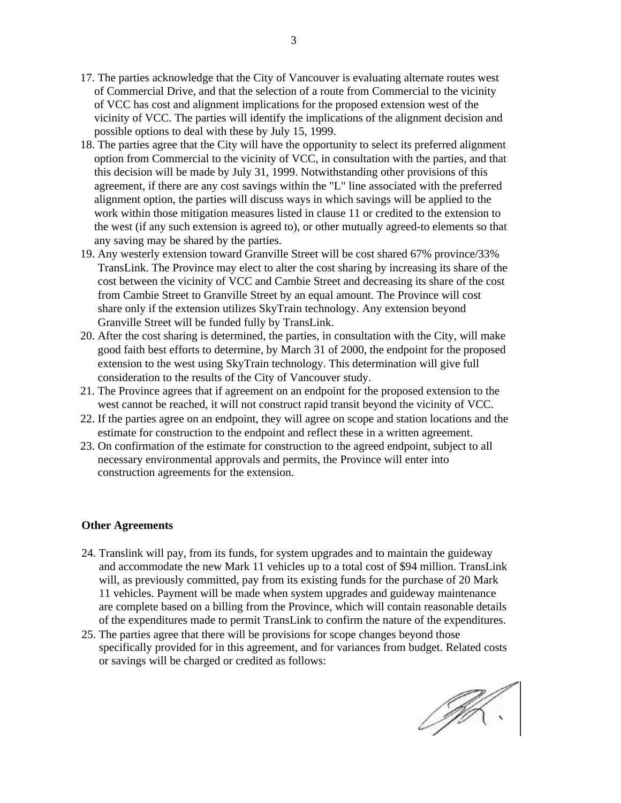- 17. The parties acknowledge that the City of Vancouver is evaluating alternate routes west of Commercial Drive, and that the selection of a route from Commercial to the vicinity of VCC has cost and alignment implications for the proposed extension west of the vicinity of VCC. The parties will identify the implications of the alignment decision and possible options to deal with these by July 15, 1999.
- 18. The parties agree that the City will have the opportunity to select its preferred alignment option from Commercial to the vicinity of VCC, in consultation with the parties, and that this decision will be made by July 31, 1999. Notwithstanding other provisions of this agreement, if there are any cost savings within the "L" line associated with the preferred alignment option, the parties will discuss ways in which savings will be applied to the work within those mitigation measures listed in clause 11 or credited to the extension to the west (if any such extension is agreed to), or other mutually agreed-to elements so that any saving may be shared by the parties.
- 19. Any westerly extension toward Granville Street will be cost shared 67% province/33% TransLink. The Province may elect to alter the cost sharing by increasing its share of the cost between the vicinity of VCC and Cambie Street and decreasing its share of the cost from Cambie Street to Granville Street by an equal amount. The Province will cost share only if the extension utilizes SkyTrain technology. Any extension beyond Granville Street will be funded fully by TransLink.
- 20. After the cost sharing is determined, the parties, in consultation with the City, will make good faith best efforts to determine, by March 31 of 2000, the endpoint for the proposed extension to the west using SkyTrain technology. This determination will give full consideration to the results of the City of Vancouver study.
- 21. The Province agrees that if agreement on an endpoint for the proposed extension to the west cannot be reached, it will not construct rapid transit beyond the vicinity of VCC.
- 22. If the parties agree on an endpoint, they will agree on scope and station locations and the estimate for construction to the endpoint and reflect these in a written agreement.
- 23. On confirmation of the estimate for construction to the agreed endpoint, subject to all necessary environmental approvals and permits, the Province will enter into construction agreements for the extension.

#### **Other Agreements**

- 24. Translink will pay, from its funds, for system upgrades and to maintain the guideway and accommodate the new Mark 11 vehicles up to a total cost of \$94 million. TransLink will, as previously committed, pay from its existing funds for the purchase of 20 Mark 11 vehicles. Payment will be made when system upgrades and guideway maintenance are complete based on a billing from the Province, which will contain reasonable details of the expenditures made to permit TransLink to confirm the nature of the expenditures.
- 25. The parties agree that there will be provisions for scope changes beyond those specifically provided for in this agreement, and for variances from budget. Related costs or savings will be charged or credited as follows:

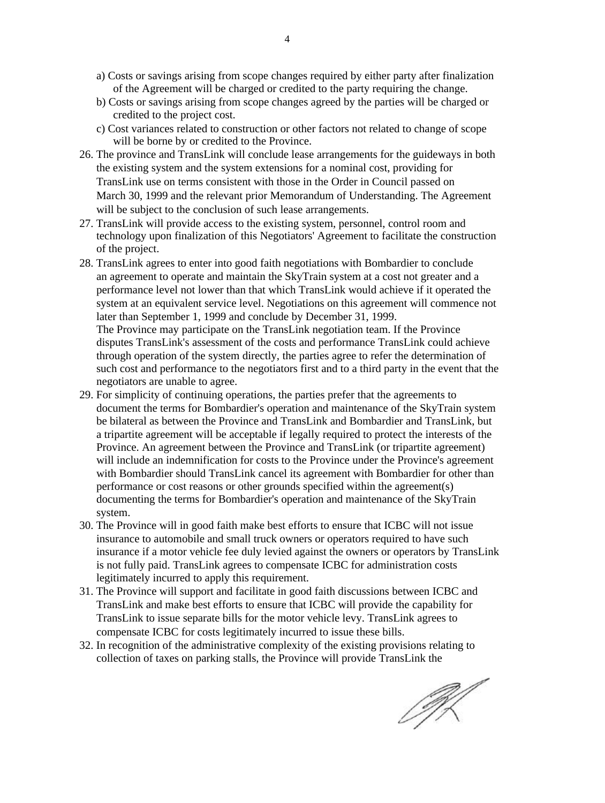- a) Costs or savings arising from scope changes required by either party after finalization of the Agreement will be charged or credited to the party requiring the change.
- b) Costs or savings arising from scope changes agreed by the parties will be charged or credited to the project cost.
- c) Cost variances related to construction or other factors not related to change of scope will be borne by or credited to the Province.
- 26. The province and TransLink will conclude lease arrangements for the guideways in both the existing system and the system extensions for a nominal cost, providing for TransLink use on terms consistent with those in the Order in Council passed on March 30, 1999 and the relevant prior Memorandum of Understanding. The Agreement will be subject to the conclusion of such lease arrangements.
- 27. TransLink will provide access to the existing system, personnel, control room and technology upon finalization of this Negotiators' Agreement to facilitate the construction of the project.
- 28. TransLink agrees to enter into good faith negotiations with Bombardier to conclude an agreement to operate and maintain the SkyTrain system at a cost not greater and a performance level not lower than that which TransLink would achieve if it operated the system at an equivalent service level. Negotiations on this agreement will commence not later than September 1, 1999 and conclude by December 31, 1999.

The Province may participate on the TransLink negotiation team. If the Province disputes TransLink's assessment of the costs and performance TransLink could achieve through operation of the system directly, the parties agree to refer the determination of such cost and performance to the negotiators first and to a third party in the event that the negotiators are unable to agree.

- 29. For simplicity of continuing operations, the parties prefer that the agreements to document the terms for Bombardier's operation and maintenance of the SkyTrain system be bilateral as between the Province and TransLink and Bombardier and TransLink, but a tripartite agreement will be acceptable if legally required to protect the interests of the Province. An agreement between the Province and TransLink (or tripartite agreement) will include an indemnification for costs to the Province under the Province's agreement with Bombardier should TransLink cancel its agreement with Bombardier for other than performance or cost reasons or other grounds specified within the agreement(s) documenting the terms for Bombardier's operation and maintenance of the SkyTrain system.
- 30. The Province will in good faith make best efforts to ensure that ICBC will not issue insurance to automobile and small truck owners or operators required to have such insurance if a motor vehicle fee duly levied against the owners or operators by TransLink is not fully paid. TransLink agrees to compensate ICBC for administration costs legitimately incurred to apply this requirement.
- 31. The Province will support and facilitate in good faith discussions between ICBC and TransLink and make best efforts to ensure that ICBC will provide the capability for TransLink to issue separate bills for the motor vehicle levy. TransLink agrees to compensate ICBC for costs legitimately incurred to issue these bills.
- 32. In recognition of the administrative complexity of the existing provisions relating to collection of taxes on parking stalls, the Province will provide TransLink the

IJK.